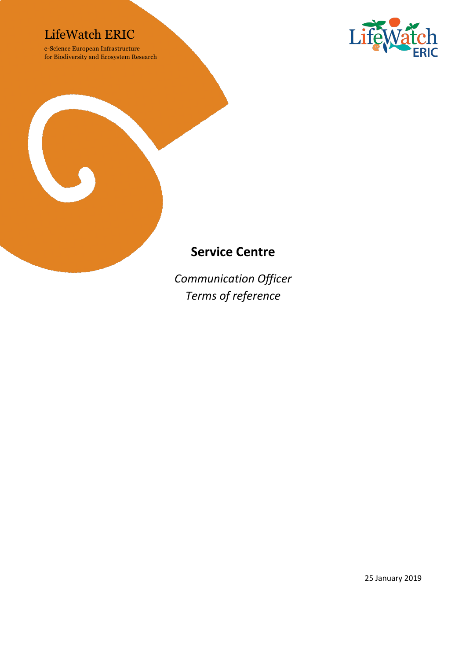## LifeWatch ERIC

e-Science European Infrastructure for Biodiversity and Ecosystem Research





## **Service Centre**

*Communication Officer Terms of reference*

25 January 2019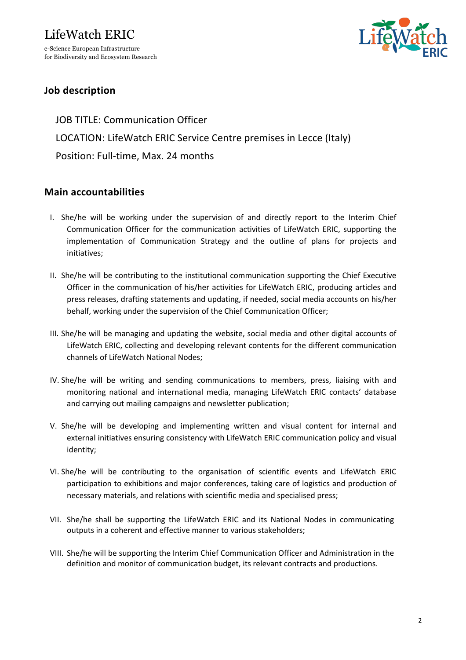# LifeWatch ERIC e-Science European Infrastructure

for Biodiversity and Ecosystem Research



### **Job description**

JOB TITLE: Communication Officer LOCATION: LifeWatch ERIC Service Centre premises in Lecce (Italy) Position: Full-time, Max. 24 months

#### **Main accountabilities**

- I. She/he will be working under the supervision of and directly report to the Interim Chief Communication Officer for the communication activities of LifeWatch ERIC, supporting the implementation of Communication Strategy and the outline of plans for projects and initiatives;
- II. She/he will be contributing to the institutional communication supporting the Chief Executive Officer in the communication of his/her activities for LifeWatch ERIC, producing articles and press releases, drafting statements and updating, if needed, social media accounts on his/her behalf, working under the supervision of the Chief Communication Officer;
- III. She/he will be managing and updating the website, social media and other digital accounts of LifeWatch ERIC, collecting and developing relevant contents for the different communication channels of LifeWatch National Nodes;
- IV. She/he will be writing and sending communications to members, press, liaising with and monitoring national and international media, managing LifeWatch ERIC contacts' database and carrying out mailing campaigns and newsletter publication;
- V. She/he will be developing and implementing written and visual content for internal and external initiatives ensuring consistency with LifeWatch ERIC communication policy and visual identity;
- VI. She/he will be contributing to the organisation of scientific events and LifeWatch ERIC participation to exhibitions and major conferences, taking care of logistics and production of necessary materials, and relations with scientific media and specialised press;
- VII. She/he shall be supporting the LifeWatch ERIC and its National Nodes in communicating outputs in a coherent and effective manner to various stakeholders;
- VIII. She/he will be supporting the Interim Chief Communication Officer and Administration in the definition and monitor of communication budget, its relevant contracts and productions.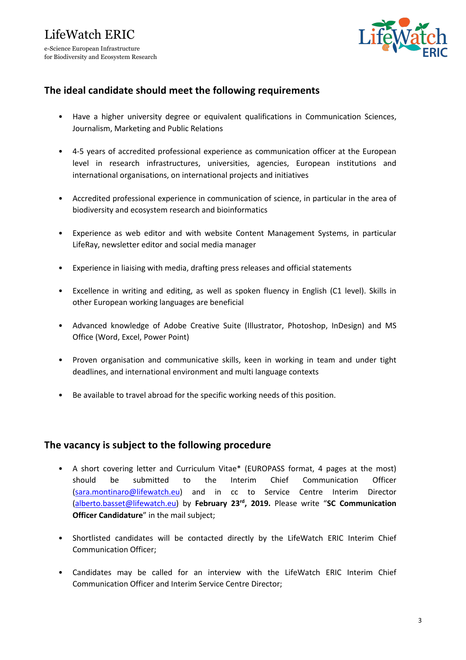

#### **The ideal candidate should meet the following requirements**

- Have a higher university degree or equivalent qualifications in Communication Sciences, Journalism, Marketing and Public Relations
- 4-5 years of accredited professional experience as communication officer at the European level in research infrastructures, universities, agencies, European institutions and international organisations, on international projects and initiatives
- Accredited professional experience in communication of science, in particular in the area of biodiversity and ecosystem research and bioinformatics
- Experience as web editor and with website Content Management Systems, in particular LifeRay, newsletter editor and social media manager
- Experience in liaising with media, drafting press releases and official statements
- Excellence in writing and editing, as well as spoken fluency in English (C1 level). Skills in other European working languages are beneficial
- Advanced knowledge of Adobe Creative Suite (Illustrator, Photoshop, InDesign) and MS Office (Word, Excel, Power Point)
- Proven organisation and communicative skills, keen in working in team and under tight deadlines, and international environment and multi language contexts
- Be available to travel abroad for the specific working needs of this position.

#### **The vacancy is subject to the following procedure**

- A short covering letter and Curriculum Vitae\* (EUROPASS format, 4 pages at the most) should be submitted to the Interim Chief Communication Officer (sara.montinaro@lifewatch.eu) and in cc to Service Centre Interim Director (alberto.basset@lifewatch.eu) by **February 23rd, 2019.** Please write "**SC Communication Officer Candidature**" in the mail subject;
- Shortlisted candidates will be contacted directly by the LifeWatch ERIC Interim Chief Communication Officer;
- Candidates may be called for an interview with the LifeWatch ERIC Interim Chief Communication Officer and Interim Service Centre Director;